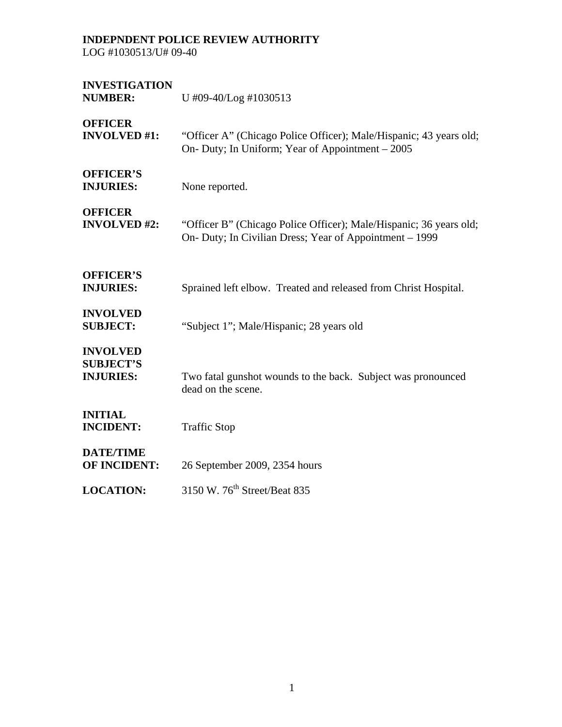LOG #1030513/U# 09-40

| <b>INVESTIGATION</b><br><b>NUMBER:</b>                  | U #09-40/Log #1030513                                                                                                         |
|---------------------------------------------------------|-------------------------------------------------------------------------------------------------------------------------------|
| <b>OFFICER</b><br><b>INVOLVED #1:</b>                   | "Officer A" (Chicago Police Officer); Male/Hispanic; 43 years old;<br>On- Duty; In Uniform; Year of Appointment – 2005        |
| <b>OFFICER'S</b><br><b>INJURIES:</b>                    | None reported.                                                                                                                |
| <b>OFFICER</b><br><b>INVOLVED #2:</b>                   | "Officer B" (Chicago Police Officer); Male/Hispanic; 36 years old;<br>On- Duty; In Civilian Dress; Year of Appointment – 1999 |
| <b>OFFICER'S</b><br><b>INJURIES:</b>                    | Sprained left elbow. Treated and released from Christ Hospital.                                                               |
| <b>INVOLVED</b><br><b>SUBJECT:</b>                      | "Subject 1"; Male/Hispanic; 28 years old                                                                                      |
| <b>INVOLVED</b><br><b>SUBJECT'S</b><br><b>INJURIES:</b> | Two fatal gunshot wounds to the back. Subject was pronounced<br>dead on the scene.                                            |
| <b>INITIAL</b><br><b>INCIDENT:</b>                      | <b>Traffic Stop</b>                                                                                                           |
| <b>DATE/TIME</b><br><b>OF INCIDENT:</b>                 | 26 September 2009, 2354 hours                                                                                                 |
| <b>LOCATION:</b>                                        | 3150 W. 76 <sup>th</sup> Street/Beat 835                                                                                      |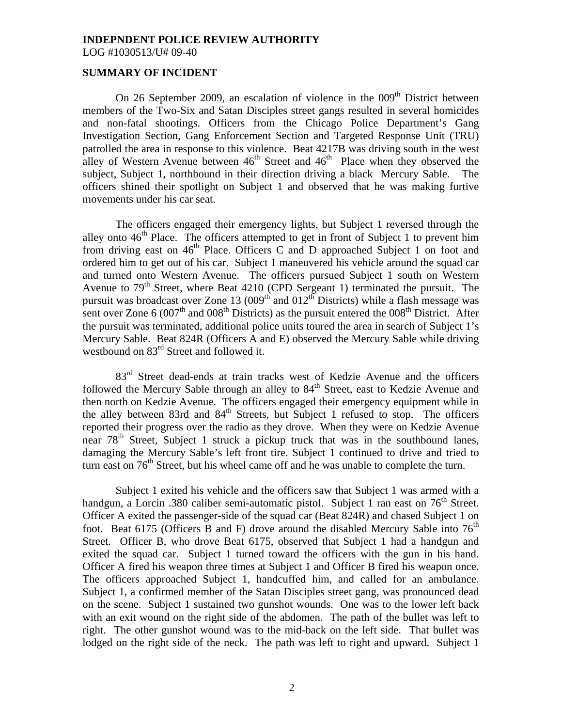LOG #1030513/U# 09-40

## **SUMMARY OF INCIDENT**

On 26 September 2009, an escalation of violence in the  $009<sup>th</sup>$  District between members of the Two-Six and Satan Disciples street gangs resulted in several homicides and non-fatal shootings. Officers from the Chicago Police Department's Gang Investigation Section, Gang Enforcement Section and Targeted Response Unit (TRU) patrolled the area in response to this violence. Beat 4217B was driving south in the west alley of Western Avenue between  $46<sup>th</sup>$  Street and  $46<sup>th</sup>$  Place when they observed the subject, Subject 1, northbound in their direction driving a black Mercury Sable. The officers shined their spotlight on Subject 1 and observed that he was making furtive movements under his car seat.

 The officers engaged their emergency lights, but Subject 1 reversed through the alley onto  $46<sup>th</sup>$  Place. The officers attempted to get in front of Subject 1 to prevent him from driving east on  $46<sup>th</sup>$  Place. Officers C and D approached Subject 1 on foot and ordered him to get out of his car. Subject 1 maneuvered his vehicle around the squad car and turned onto Western Avenue. The officers pursued Subject 1 south on Western Avenue to  $79<sup>th</sup>$  Street, where Beat 4210 (CPD Sergeant 1) terminated the pursuit. The pursuit was broadcast over Zone 13  $(0.09<sup>th</sup>$  and  $0.12<sup>th</sup>$  Districts) while a flash message was sent over Zone  $6 (007<sup>th</sup>$  and  $008<sup>th</sup>$  Districts) as the pursuit entered the  $008<sup>th</sup>$  District. After the pursuit was terminated, additional police units toured the area in search of Subject 1's Mercury Sable. Beat 824R (Officers A and E) observed the Mercury Sable while driving westbound on  $83<sup>rd</sup>$  Street and followed it.

83<sup>rd</sup> Street dead-ends at train tracks west of Kedzie Avenue and the officers followed the Mercury Sable through an alley to 84<sup>th</sup> Street, east to Kedzie Avenue and then north on Kedzie Avenue. The officers engaged their emergency equipment while in the alley between 83rd and  $84<sup>th</sup>$  Streets, but Subject 1 refused to stop. The officers reported their progress over the radio as they drove. When they were on Kedzie Avenue near  $78<sup>th</sup>$  Street, Subject 1 struck a pickup truck that was in the southbound lanes, damaging the Mercury Sable's left front tire. Subject 1 continued to drive and tried to turn east on  $76<sup>th</sup>$  Street, but his wheel came off and he was unable to complete the turn.

 Subject 1 exited his vehicle and the officers saw that Subject 1 was armed with a handgun, a Lorcin .380 caliber semi-automatic pistol. Subject 1 ran east on  $76<sup>th</sup>$  Street. Officer A exited the passenger-side of the squad car (Beat 824R) and chased Subject 1 on foot. Beat 6175 (Officers B and F) drove around the disabled Mercury Sable into  $76<sup>th</sup>$ Street. Officer B, who drove Beat 6175, observed that Subject 1 had a handgun and exited the squad car. Subject 1 turned toward the officers with the gun in his hand. Officer A fired his weapon three times at Subject 1 and Officer B fired his weapon once. The officers approached Subject 1, handcuffed him, and called for an ambulance. Subject 1, a confirmed member of the Satan Disciples street gang, was pronounced dead on the scene. Subject 1 sustained two gunshot wounds. One was to the lower left back with an exit wound on the right side of the abdomen. The path of the bullet was left to right. The other gunshot wound was to the mid-back on the left side. That bullet was lodged on the right side of the neck. The path was left to right and upward. Subject 1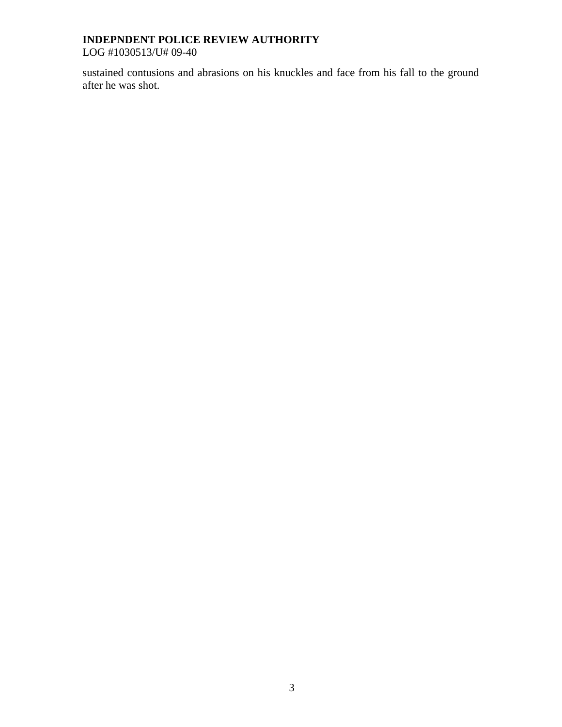LOG #1030513/U# 09-40

sustained contusions and abrasions on his knuckles and face from his fall to the ground after he was shot.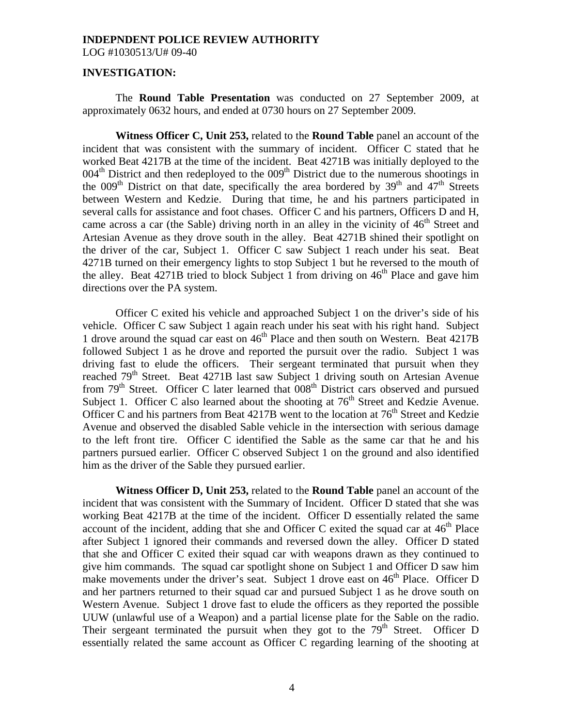LOG #1030513/U# 09-40

#### **INVESTIGATION:**

 The **Round Table Presentation** was conducted on 27 September 2009, at approximately 0632 hours, and ended at 0730 hours on 27 September 2009.

**Witness Officer C, Unit 253,** related to the **Round Table** panel an account of the incident that was consistent with the summary of incident. Officer C stated that he worked Beat 4217B at the time of the incident. Beat 4271B was initially deployed to the  $004<sup>th</sup>$  District and then redeployed to the  $009<sup>th</sup>$  District due to the numerous shootings in the  $009<sup>th</sup>$  District on that date, specifically the area bordered by  $39<sup>th</sup>$  and  $47<sup>th</sup>$  Streets between Western and Kedzie. During that time, he and his partners participated in several calls for assistance and foot chases. Officer C and his partners, Officers D and H, came across a car (the Sable) driving north in an alley in the vicinity of  $46<sup>th</sup>$  Street and Artesian Avenue as they drove south in the alley. Beat 4271B shined their spotlight on the driver of the car, Subject 1. Officer C saw Subject 1 reach under his seat. Beat 4271B turned on their emergency lights to stop Subject 1 but he reversed to the mouth of the alley. Beat 4271B tried to block Subject 1 from driving on  $46<sup>th</sup>$  Place and gave him directions over the PA system.

 Officer C exited his vehicle and approached Subject 1 on the driver's side of his vehicle. Officer C saw Subject 1 again reach under his seat with his right hand. Subject 1 drove around the squad car east on  $46<sup>th</sup>$  Place and then south on Western. Beat 4217B followed Subject 1 as he drove and reported the pursuit over the radio. Subject 1 was driving fast to elude the officers. Their sergeant terminated that pursuit when they reached  $79<sup>th</sup>$  Street. Beat 4271B last saw Subject 1 driving south on Artesian Avenue from  $79<sup>th</sup>$  Street. Officer C later learned that  $008<sup>th</sup>$  District cars observed and pursued Subject 1. Officer C also learned about the shooting at  $76<sup>th</sup>$  Street and Kedzie Avenue. Officer C and his partners from Beat  $4217B$  went to the location at  $76<sup>th</sup>$  Street and Kedzie Avenue and observed the disabled Sable vehicle in the intersection with serious damage to the left front tire. Officer C identified the Sable as the same car that he and his partners pursued earlier. Officer C observed Subject 1 on the ground and also identified him as the driver of the Sable they pursued earlier.

 **Witness Officer D, Unit 253,** related to the **Round Table** panel an account of the incident that was consistent with the Summary of Incident. Officer D stated that she was working Beat 4217B at the time of the incident. Officer D essentially related the same account of the incident, adding that she and Officer C exited the squad car at  $46<sup>th</sup>$  Place after Subject 1 ignored their commands and reversed down the alley. Officer D stated that she and Officer C exited their squad car with weapons drawn as they continued to give him commands. The squad car spotlight shone on Subject 1 and Officer D saw him make movements under the driver's seat. Subject 1 drove east on  $46<sup>th</sup>$  Place. Officer D and her partners returned to their squad car and pursued Subject 1 as he drove south on Western Avenue. Subject 1 drove fast to elude the officers as they reported the possible UUW (unlawful use of a Weapon) and a partial license plate for the Sable on the radio. Their sergeant terminated the pursuit when they got to the  $79<sup>th</sup>$  Street. Officer D essentially related the same account as Officer C regarding learning of the shooting at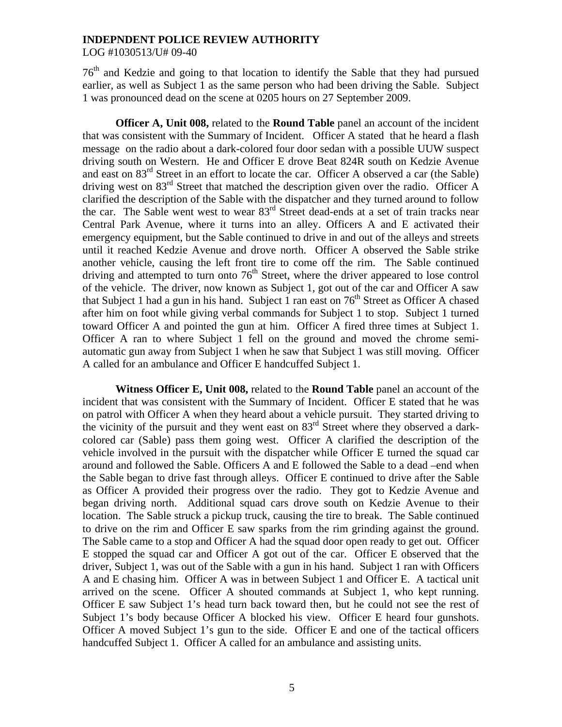LOG #1030513/U# 09-40

 $76<sup>th</sup>$  and Kedzie and going to that location to identify the Sable that they had pursued earlier, as well as Subject 1 as the same person who had been driving the Sable. Subject 1 was pronounced dead on the scene at 0205 hours on 27 September 2009.

**Officer A, Unit 008,** related to the **Round Table** panel an account of the incident that was consistent with the Summary of Incident. Officer A stated that he heard a flash message on the radio about a dark-colored four door sedan with a possible UUW suspect driving south on Western. He and Officer E drove Beat 824R south on Kedzie Avenue and east on 83<sup>rd</sup> Street in an effort to locate the car. Officer A observed a car (the Sable) driving west on 83<sup>rd</sup> Street that matched the description given over the radio. Officer A clarified the description of the Sable with the dispatcher and they turned around to follow the car. The Sable went west to wear  $83<sup>rd</sup>$  Street dead-ends at a set of train tracks near Central Park Avenue, where it turns into an alley. Officers A and E activated their emergency equipment, but the Sable continued to drive in and out of the alleys and streets until it reached Kedzie Avenue and drove north. Officer A observed the Sable strike another vehicle, causing the left front tire to come off the rim. The Sable continued driving and attempted to turn onto  $76<sup>th</sup>$  Street, where the driver appeared to lose control of the vehicle. The driver, now known as Subject 1, got out of the car and Officer A saw that Subject 1 had a gun in his hand. Subject 1 ran east on  $76<sup>th</sup>$  Street as Officer A chased after him on foot while giving verbal commands for Subject 1 to stop. Subject 1 turned toward Officer A and pointed the gun at him. Officer A fired three times at Subject 1. Officer A ran to where Subject 1 fell on the ground and moved the chrome semiautomatic gun away from Subject 1 when he saw that Subject 1 was still moving. Officer A called for an ambulance and Officer E handcuffed Subject 1.

**Witness Officer E, Unit 008,** related to the **Round Table** panel an account of the incident that was consistent with the Summary of Incident. Officer E stated that he was on patrol with Officer A when they heard about a vehicle pursuit. They started driving to the vicinity of the pursuit and they went east on 83rd Street where they observed a darkcolored car (Sable) pass them going west. Officer A clarified the description of the vehicle involved in the pursuit with the dispatcher while Officer E turned the squad car around and followed the Sable. Officers A and E followed the Sable to a dead –end when the Sable began to drive fast through alleys. Officer E continued to drive after the Sable as Officer A provided their progress over the radio. They got to Kedzie Avenue and began driving north. Additional squad cars drove south on Kedzie Avenue to their location. The Sable struck a pickup truck, causing the tire to break. The Sable continued to drive on the rim and Officer E saw sparks from the rim grinding against the ground. The Sable came to a stop and Officer A had the squad door open ready to get out. Officer E stopped the squad car and Officer A got out of the car. Officer E observed that the driver, Subject 1, was out of the Sable with a gun in his hand. Subject 1 ran with Officers A and E chasing him. Officer A was in between Subject 1 and Officer E. A tactical unit arrived on the scene. Officer A shouted commands at Subject 1, who kept running. Officer E saw Subject 1's head turn back toward then, but he could not see the rest of Subject 1's body because Officer A blocked his view. Officer E heard four gunshots. Officer A moved Subject 1's gun to the side. Officer E and one of the tactical officers handcuffed Subject 1. Officer A called for an ambulance and assisting units.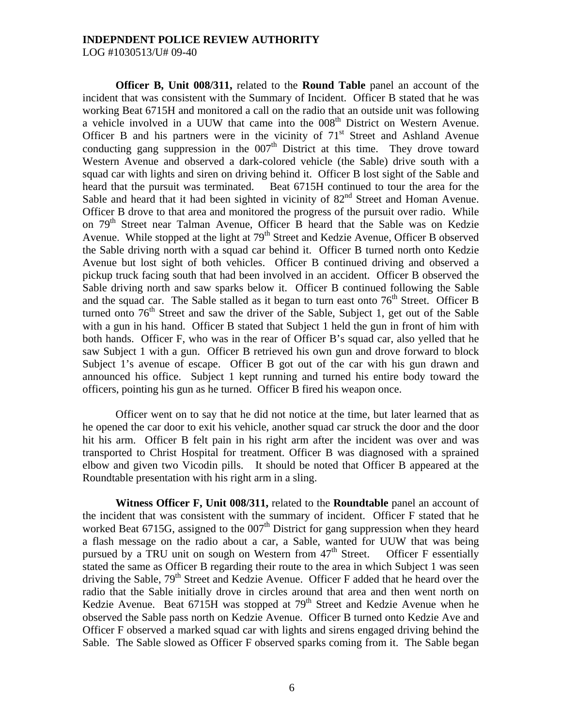LOG #1030513/U# 09-40

**Officer B, Unit 008/311,** related to the **Round Table** panel an account of the incident that was consistent with the Summary of Incident. Officer B stated that he was working Beat 6715H and monitored a call on the radio that an outside unit was following a vehicle involved in a UUW that came into the 008<sup>th</sup> District on Western Avenue. Officer B and his partners were in the vicinity of  $71<sup>st</sup>$  Street and Ashland Avenue conducting gang suppression in the  $007<sup>th</sup>$  District at this time. They drove toward Western Avenue and observed a dark-colored vehicle (the Sable) drive south with a squad car with lights and siren on driving behind it. Officer B lost sight of the Sable and heard that the pursuit was terminated. Beat 6715H continued to tour the area for the Sable and heard that it had been sighted in vicinity of  $82<sup>nd</sup>$  Street and Homan Avenue. Officer B drove to that area and monitored the progress of the pursuit over radio. While on 79<sup>th</sup> Street near Talman Avenue, Officer B heard that the Sable was on Kedzie Avenue. While stopped at the light at  $79<sup>th</sup>$  Street and Kedzie Avenue, Officer B observed the Sable driving north with a squad car behind it. Officer B turned north onto Kedzie Avenue but lost sight of both vehicles. Officer B continued driving and observed a pickup truck facing south that had been involved in an accident. Officer B observed the Sable driving north and saw sparks below it. Officer B continued following the Sable and the squad car. The Sable stalled as it began to turn east onto  $76<sup>th</sup>$  Street. Officer B turned onto  $76<sup>th</sup>$  Street and saw the driver of the Sable, Subject 1, get out of the Sable with a gun in his hand. Officer B stated that Subject 1 held the gun in front of him with both hands. Officer F, who was in the rear of Officer B's squad car, also yelled that he saw Subject 1 with a gun. Officer B retrieved his own gun and drove forward to block Subject 1's avenue of escape. Officer B got out of the car with his gun drawn and announced his office. Subject 1 kept running and turned his entire body toward the officers, pointing his gun as he turned. Officer B fired his weapon once.

 Officer went on to say that he did not notice at the time, but later learned that as he opened the car door to exit his vehicle, another squad car struck the door and the door hit his arm. Officer B felt pain in his right arm after the incident was over and was transported to Christ Hospital for treatment. Officer B was diagnosed with a sprained elbow and given two Vicodin pills. It should be noted that Officer B appeared at the Roundtable presentation with his right arm in a sling.

**Witness Officer F, Unit 008/311,** related to the **Roundtable** panel an account of the incident that was consistent with the summary of incident. Officer F stated that he worked Beat 6715G, assigned to the  $007<sup>th</sup>$  District for gang suppression when they heard a flash message on the radio about a car, a Sable, wanted for UUW that was being pursued by a TRU unit on sough on Western from  $47<sup>th</sup>$  Street. Officer F essentially stated the same as Officer B regarding their route to the area in which Subject 1 was seen driving the Sable,  $79<sup>th</sup>$  Street and Kedzie Avenue. Officer F added that he heard over the radio that the Sable initially drove in circles around that area and then went north on Kedzie Avenue. Beat  $6715H$  was stopped at  $79<sup>th</sup>$  Street and Kedzie Avenue when he observed the Sable pass north on Kedzie Avenue. Officer B turned onto Kedzie Ave and Officer F observed a marked squad car with lights and sirens engaged driving behind the Sable. The Sable slowed as Officer F observed sparks coming from it. The Sable began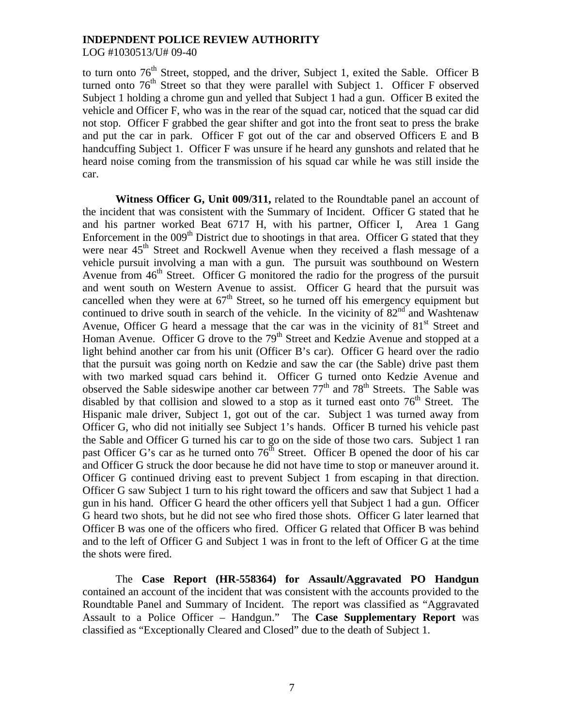LOG #1030513/U# 09-40

to turn onto  $76<sup>th</sup>$  Street, stopped, and the driver, Subject 1, exited the Sable. Officer B turned onto 76<sup>th</sup> Street so that they were parallel with Subject 1. Officer F observed Subject 1 holding a chrome gun and yelled that Subject 1 had a gun. Officer B exited the vehicle and Officer F, who was in the rear of the squad car, noticed that the squad car did not stop. Officer F grabbed the gear shifter and got into the front seat to press the brake and put the car in park. Officer F got out of the car and observed Officers E and B handcuffing Subject 1. Officer F was unsure if he heard any gunshots and related that he heard noise coming from the transmission of his squad car while he was still inside the car.

Witness Officer G, Unit 009/311, related to the Roundtable panel an account of the incident that was consistent with the Summary of Incident. Officer G stated that he and his partner worked Beat 6717 H, with his partner, Officer I, Area 1 Gang Enforcement in the  $009<sup>th</sup>$  District due to shootings in that area. Officer G stated that they were near  $45<sup>th</sup>$  Street and Rockwell Avenue when they received a flash message of a vehicle pursuit involving a man with a gun. The pursuit was southbound on Western Avenue from  $46<sup>th</sup>$  Street. Officer G monitored the radio for the progress of the pursuit and went south on Western Avenue to assist. Officer G heard that the pursuit was cancelled when they were at  $67<sup>th</sup>$  Street, so he turned off his emergency equipment but continued to drive south in search of the vehicle. In the vicinity of  $82<sup>nd</sup>$  and Washtenaw Avenue, Officer G heard a message that the car was in the vicinity of  $81<sup>st</sup>$  Street and Homan Avenue. Officer G drove to the  $79<sup>th</sup>$  Street and Kedzie Avenue and stopped at a light behind another car from his unit (Officer B's car). Officer G heard over the radio that the pursuit was going north on Kedzie and saw the car (the Sable) drive past them with two marked squad cars behind it. Officer G turned onto Kedzie Avenue and observed the Sable sideswipe another car between  $77<sup>th</sup>$  and  $78<sup>th</sup>$  Streets. The Sable was disabled by that collision and slowed to a stop as it turned east onto  $76<sup>th</sup>$  Street. The Hispanic male driver, Subject 1, got out of the car. Subject 1 was turned away from Officer G, who did not initially see Subject 1's hands. Officer B turned his vehicle past the Sable and Officer G turned his car to go on the side of those two cars. Subject 1 ran past Officer G's car as he turned onto  $76<sup>th</sup>$  Street. Officer B opened the door of his car and Officer G struck the door because he did not have time to stop or maneuver around it. Officer G continued driving east to prevent Subject 1 from escaping in that direction. Officer G saw Subject 1 turn to his right toward the officers and saw that Subject 1 had a gun in his hand. Officer G heard the other officers yell that Subject 1 had a gun. Officer G heard two shots, but he did not see who fired those shots. Officer G later learned that Officer B was one of the officers who fired. Officer G related that Officer B was behind and to the left of Officer G and Subject 1 was in front to the left of Officer G at the time the shots were fired.

 The **Case Report (HR-558364) for Assault/Aggravated PO Handgun**  contained an account of the incident that was consistent with the accounts provided to the Roundtable Panel and Summary of Incident. The report was classified as "Aggravated Assault to a Police Officer – Handgun." The **Case Supplementary Report** was classified as "Exceptionally Cleared and Closed" due to the death of Subject 1.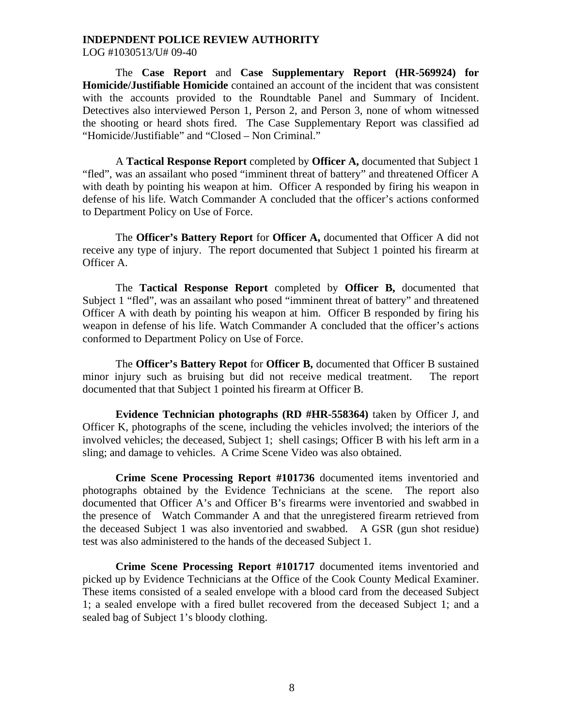LOG #1030513/U# 09-40

 The **Case Report** and **Case Supplementary Report (HR-569924) for Homicide/Justifiable Homicide** contained an account of the incident that was consistent with the accounts provided to the Roundtable Panel and Summary of Incident. Detectives also interviewed Person 1, Person 2, and Person 3, none of whom witnessed the shooting or heard shots fired. The Case Supplementary Report was classified ad "Homicide/Justifiable" and "Closed – Non Criminal."

 A **Tactical Response Report** completed by **Officer A,** documented that Subject 1 "fled", was an assailant who posed "imminent threat of battery" and threatened Officer A with death by pointing his weapon at him. Officer A responded by firing his weapon in defense of his life. Watch Commander A concluded that the officer's actions conformed to Department Policy on Use of Force.

 The **Officer's Battery Report** for **Officer A,** documented that Officer A did not receive any type of injury. The report documented that Subject 1 pointed his firearm at Officer A.

 The **Tactical Response Report** completed by **Officer B,** documented that Subject 1 "fled", was an assailant who posed "imminent threat of battery" and threatened Officer A with death by pointing his weapon at him. Officer B responded by firing his weapon in defense of his life. Watch Commander A concluded that the officer's actions conformed to Department Policy on Use of Force.

 The **Officer's Battery Repot** for **Officer B,** documented that Officer B sustained minor injury such as bruising but did not receive medical treatment. The report documented that that Subject 1 pointed his firearm at Officer B.

**Evidence Technician photographs (RD #HR-558364)** taken by Officer J, and Officer K, photographs of the scene, including the vehicles involved; the interiors of the involved vehicles; the deceased, Subject 1; shell casings; Officer B with his left arm in a sling; and damage to vehicles. A Crime Scene Video was also obtained.

**Crime Scene Processing Report #101736** documented items inventoried and photographs obtained by the Evidence Technicians at the scene. The report also documented that Officer A's and Officer B's firearms were inventoried and swabbed in the presence of Watch Commander A and that the unregistered firearm retrieved from the deceased Subject 1 was also inventoried and swabbed. A GSR (gun shot residue) test was also administered to the hands of the deceased Subject 1.

**Crime Scene Processing Report #101717** documented items inventoried and picked up by Evidence Technicians at the Office of the Cook County Medical Examiner. These items consisted of a sealed envelope with a blood card from the deceased Subject 1; a sealed envelope with a fired bullet recovered from the deceased Subject 1; and a sealed bag of Subject 1's bloody clothing.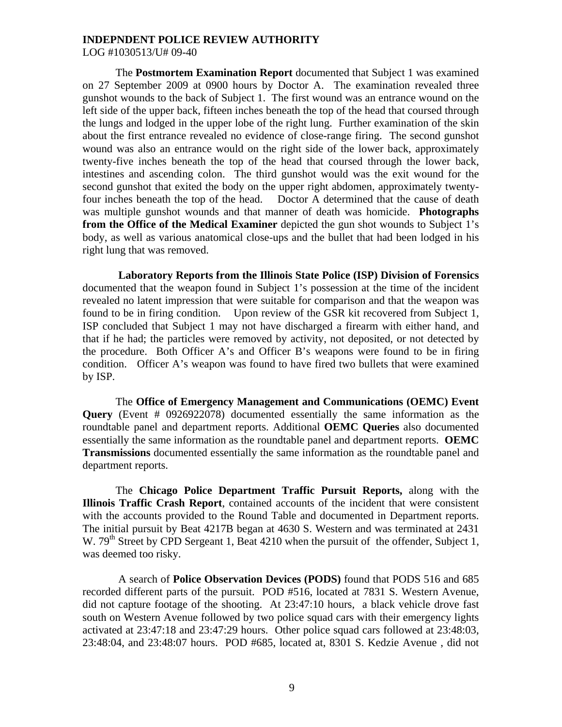LOG #1030513/U# 09-40

 The **Postmortem Examination Report** documented that Subject 1 was examined on 27 September 2009 at 0900 hours by Doctor A. The examination revealed three gunshot wounds to the back of Subject 1. The first wound was an entrance wound on the left side of the upper back, fifteen inches beneath the top of the head that coursed through the lungs and lodged in the upper lobe of the right lung. Further examination of the skin about the first entrance revealed no evidence of close-range firing. The second gunshot wound was also an entrance would on the right side of the lower back, approximately twenty-five inches beneath the top of the head that coursed through the lower back, intestines and ascending colon. The third gunshot would was the exit wound for the second gunshot that exited the body on the upper right abdomen, approximately twentyfour inches beneath the top of the head. Doctor A determined that the cause of death was multiple gunshot wounds and that manner of death was homicide. **Photographs from the Office of the Medical Examiner** depicted the gun shot wounds to Subject 1's body, as well as various anatomical close-ups and the bullet that had been lodged in his right lung that was removed.

 **Laboratory Reports from the Illinois State Police (ISP) Division of Forensics**  documented that the weapon found in Subject 1's possession at the time of the incident revealed no latent impression that were suitable for comparison and that the weapon was found to be in firing condition. Upon review of the GSR kit recovered from Subject 1, ISP concluded that Subject 1 may not have discharged a firearm with either hand, and that if he had; the particles were removed by activity, not deposited, or not detected by the procedure. Both Officer A's and Officer B's weapons were found to be in firing condition. Officer A's weapon was found to have fired two bullets that were examined by ISP.

 The **Office of Emergency Management and Communications (OEMC) Event Query** (Event # 0926922078) documented essentially the same information as the roundtable panel and department reports. Additional **OEMC Queries** also documented essentially the same information as the roundtable panel and department reports. **OEMC Transmissions** documented essentially the same information as the roundtable panel and department reports.

 The **Chicago Police Department Traffic Pursuit Reports,** along with the **Illinois Traffic Crash Report**, contained accounts of the incident that were consistent with the accounts provided to the Round Table and documented in Department reports. The initial pursuit by Beat 4217B began at 4630 S. Western and was terminated at 2431 W.  $79<sup>th</sup>$  Street by CPD Sergeant 1, Beat 4210 when the pursuit of the offender, Subject 1, was deemed too risky.

 A search of **Police Observation Devices (PODS)** found that PODS 516 and 685 recorded different parts of the pursuit. POD #516, located at 7831 S. Western Avenue, did not capture footage of the shooting. At 23:47:10 hours, a black vehicle drove fast south on Western Avenue followed by two police squad cars with their emergency lights activated at 23:47:18 and 23:47:29 hours. Other police squad cars followed at 23:48:03, 23:48:04, and 23:48:07 hours. POD #685, located at, 8301 S. Kedzie Avenue , did not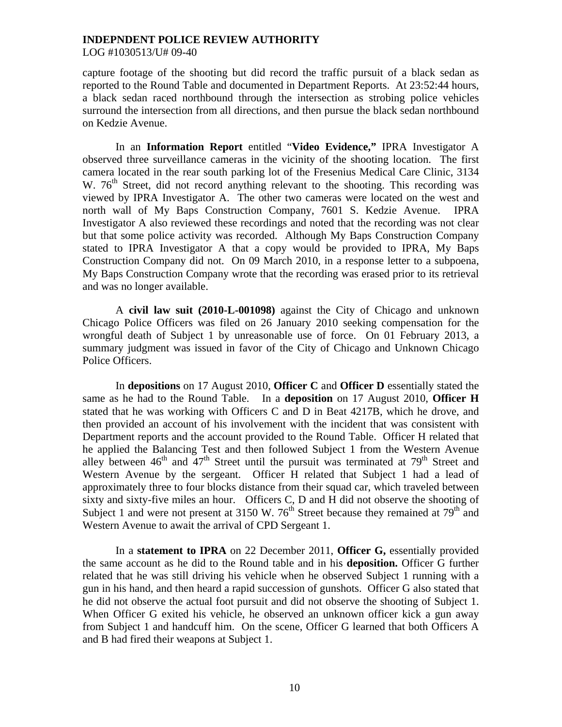LOG #1030513/U# 09-40

capture footage of the shooting but did record the traffic pursuit of a black sedan as reported to the Round Table and documented in Department Reports. At 23:52:44 hours, a black sedan raced northbound through the intersection as strobing police vehicles surround the intersection from all directions, and then pursue the black sedan northbound on Kedzie Avenue.

In an **Information Report** entitled "**Video Evidence,"** IPRA Investigator A observed three surveillance cameras in the vicinity of the shooting location. The first camera located in the rear south parking lot of the Fresenius Medical Care Clinic, 3134 W.  $76<sup>th</sup>$  Street, did not record anything relevant to the shooting. This recording was viewed by IPRA Investigator A. The other two cameras were located on the west and north wall of My Baps Construction Company, 7601 S. Kedzie Avenue. IPRA Investigator A also reviewed these recordings and noted that the recording was not clear but that some police activity was recorded. Although My Baps Construction Company stated to IPRA Investigator A that a copy would be provided to IPRA, My Baps Construction Company did not. On 09 March 2010, in a response letter to a subpoena, My Baps Construction Company wrote that the recording was erased prior to its retrieval and was no longer available.

 A **civil law suit (2010-L-001098)** against the City of Chicago and unknown Chicago Police Officers was filed on 26 January 2010 seeking compensation for the wrongful death of Subject 1 by unreasonable use of force. On 01 February 2013, a summary judgment was issued in favor of the City of Chicago and Unknown Chicago Police Officers.

In **depositions** on 17 August 2010, **Officer C** and **Officer D** essentially stated the same as he had to the Round Table. In a **deposition** on 17 August 2010, **Officer H**  stated that he was working with Officers C and D in Beat 4217B, which he drove, and then provided an account of his involvement with the incident that was consistent with Department reports and the account provided to the Round Table. Officer H related that he applied the Balancing Test and then followed Subject 1 from the Western Avenue alley between  $46<sup>th</sup>$  and  $47<sup>th</sup>$  Street until the pursuit was terminated at  $79<sup>th</sup>$  Street and Western Avenue by the sergeant. Officer H related that Subject 1 had a lead of approximately three to four blocks distance from their squad car, which traveled between sixty and sixty-five miles an hour. Officers C, D and H did not observe the shooting of Subject 1 and were not present at 3150 W.  $76<sup>th</sup>$  Street because they remained at  $79<sup>th</sup>$  and Western Avenue to await the arrival of CPD Sergeant 1.

 In a **statement to IPRA** on 22 December 2011, **Officer G,** essentially provided the same account as he did to the Round table and in his **deposition.** Officer G further related that he was still driving his vehicle when he observed Subject 1 running with a gun in his hand, and then heard a rapid succession of gunshots. Officer G also stated that he did not observe the actual foot pursuit and did not observe the shooting of Subject 1. When Officer G exited his vehicle, he observed an unknown officer kick a gun away from Subject 1 and handcuff him. On the scene, Officer G learned that both Officers A and B had fired their weapons at Subject 1.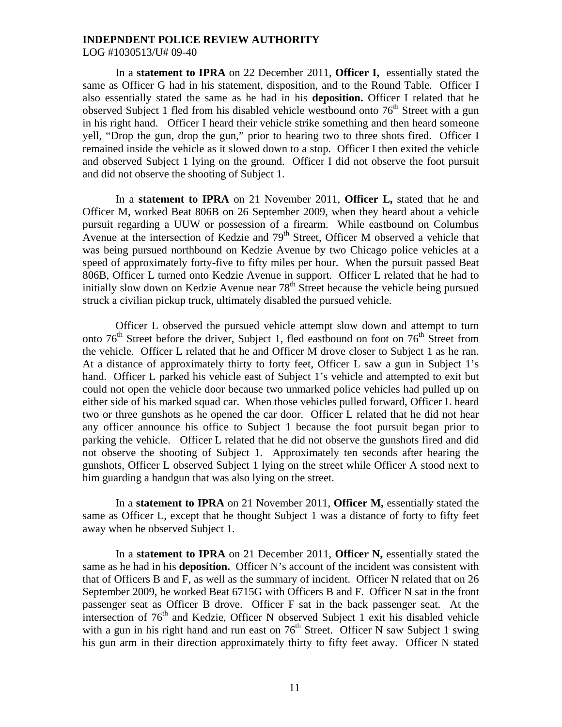LOG #1030513/U# 09-40

 In a **statement to IPRA** on 22 December 2011, **Officer I,** essentially stated the same as Officer G had in his statement, disposition, and to the Round Table. Officer I also essentially stated the same as he had in his **deposition.** Officer I related that he observed Subject 1 fled from his disabled vehicle westbound onto  $76<sup>th</sup>$  Street with a gun in his right hand. Officer I heard their vehicle strike something and then heard someone yell, "Drop the gun, drop the gun," prior to hearing two to three shots fired. Officer I remained inside the vehicle as it slowed down to a stop. Officer I then exited the vehicle and observed Subject 1 lying on the ground. Officer I did not observe the foot pursuit and did not observe the shooting of Subject 1.

 In a **statement to IPRA** on 21 November 2011, **Officer L,** stated that he and Officer M, worked Beat 806B on 26 September 2009, when they heard about a vehicle pursuit regarding a UUW or possession of a firearm. While eastbound on Columbus Avenue at the intersection of Kedzie and 79<sup>th</sup> Street, Officer M observed a vehicle that was being pursued northbound on Kedzie Avenue by two Chicago police vehicles at a speed of approximately forty-five to fifty miles per hour. When the pursuit passed Beat 806B, Officer L turned onto Kedzie Avenue in support. Officer L related that he had to initially slow down on Kedzie Avenue near  $78<sup>th</sup>$  Street because the vehicle being pursued struck a civilian pickup truck, ultimately disabled the pursued vehicle.

 Officer L observed the pursued vehicle attempt slow down and attempt to turn onto  $76<sup>th</sup>$  Street before the driver, Subject 1, fled eastbound on foot on  $76<sup>th</sup>$  Street from the vehicle. Officer L related that he and Officer M drove closer to Subject 1 as he ran. At a distance of approximately thirty to forty feet, Officer L saw a gun in Subject 1's hand. Officer L parked his vehicle east of Subject 1's vehicle and attempted to exit but could not open the vehicle door because two unmarked police vehicles had pulled up on either side of his marked squad car. When those vehicles pulled forward, Officer L heard two or three gunshots as he opened the car door. Officer L related that he did not hear any officer announce his office to Subject 1 because the foot pursuit began prior to parking the vehicle. Officer L related that he did not observe the gunshots fired and did not observe the shooting of Subject 1. Approximately ten seconds after hearing the gunshots, Officer L observed Subject 1 lying on the street while Officer A stood next to him guarding a handgun that was also lying on the street.

 In a **statement to IPRA** on 21 November 2011, **Officer M,** essentially stated the same as Officer L, except that he thought Subject 1 was a distance of forty to fifty feet away when he observed Subject 1.

In a **statement to IPRA** on 21 December 2011, **Officer N,** essentially stated the same as he had in his **deposition.** Officer N's account of the incident was consistent with that of Officers B and F, as well as the summary of incident. Officer N related that on 26 September 2009, he worked Beat 6715G with Officers B and F. Officer N sat in the front passenger seat as Officer B drove. Officer F sat in the back passenger seat. At the intersection of  $76<sup>th</sup>$  and Kedzie, Officer N observed Subject 1 exit his disabled vehicle with a gun in his right hand and run east on  $76<sup>th</sup>$  Street. Officer N saw Subject 1 swing his gun arm in their direction approximately thirty to fifty feet away. Officer N stated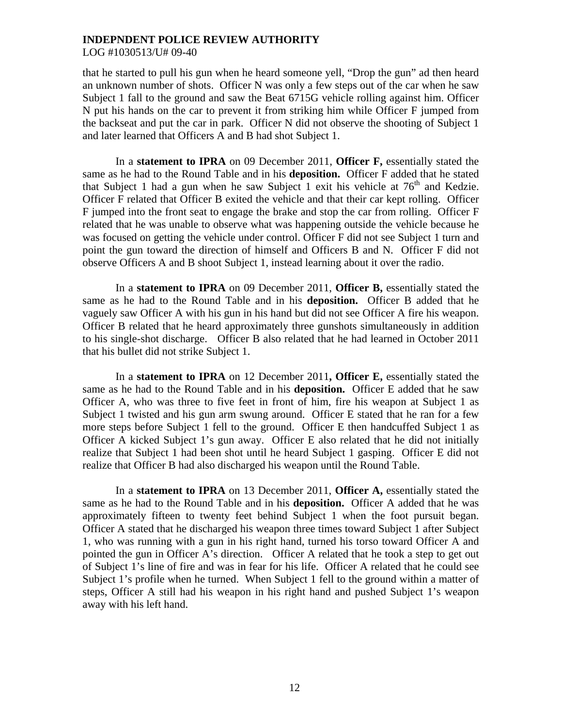LOG #1030513/U# 09-40

that he started to pull his gun when he heard someone yell, "Drop the gun" ad then heard an unknown number of shots. Officer N was only a few steps out of the car when he saw Subject 1 fall to the ground and saw the Beat 6715G vehicle rolling against him. Officer N put his hands on the car to prevent it from striking him while Officer F jumped from the backseat and put the car in park. Officer N did not observe the shooting of Subject 1 and later learned that Officers A and B had shot Subject 1.

 In a **statement to IPRA** on 09 December 2011, **Officer F,** essentially stated the same as he had to the Round Table and in his **deposition.** Officer F added that he stated that Subject 1 had a gun when he saw Subject 1 exit his vehicle at  $76<sup>th</sup>$  and Kedzie. Officer F related that Officer B exited the vehicle and that their car kept rolling. Officer F jumped into the front seat to engage the brake and stop the car from rolling. Officer F related that he was unable to observe what was happening outside the vehicle because he was focused on getting the vehicle under control. Officer F did not see Subject 1 turn and point the gun toward the direction of himself and Officers B and N. Officer F did not observe Officers A and B shoot Subject 1, instead learning about it over the radio.

 In a **statement to IPRA** on 09 December 2011, **Officer B,** essentially stated the same as he had to the Round Table and in his **deposition.** Officer B added that he vaguely saw Officer A with his gun in his hand but did not see Officer A fire his weapon. Officer B related that he heard approximately three gunshots simultaneously in addition to his single-shot discharge. Officer B also related that he had learned in October 2011 that his bullet did not strike Subject 1.

In a **statement to IPRA** on 12 December 2011**, Officer E,** essentially stated the same as he had to the Round Table and in his **deposition.** Officer E added that he saw Officer A, who was three to five feet in front of him, fire his weapon at Subject 1 as Subject 1 twisted and his gun arm swung around. Officer E stated that he ran for a few more steps before Subject 1 fell to the ground. Officer E then handcuffed Subject 1 as Officer A kicked Subject 1's gun away. Officer E also related that he did not initially realize that Subject 1 had been shot until he heard Subject 1 gasping. Officer E did not realize that Officer B had also discharged his weapon until the Round Table.

In a **statement to IPRA** on 13 December 2011, **Officer A,** essentially stated the same as he had to the Round Table and in his **deposition.** Officer A added that he was approximately fifteen to twenty feet behind Subject 1 when the foot pursuit began. Officer A stated that he discharged his weapon three times toward Subject 1 after Subject 1, who was running with a gun in his right hand, turned his torso toward Officer A and pointed the gun in Officer A's direction. Officer A related that he took a step to get out of Subject 1's line of fire and was in fear for his life. Officer A related that he could see Subject 1's profile when he turned. When Subject 1 fell to the ground within a matter of steps, Officer A still had his weapon in his right hand and pushed Subject 1's weapon away with his left hand.